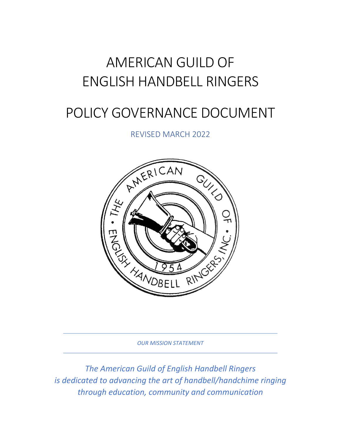# AMERICAN GUILD OF ENGLISH HANDBELL RINGERS

# POLICY GOVERNANCE DOCUMENT

REVISED MARCH 2022



*OUR MISSION STATEMENT*

*The American Guild of English Handbell Ringers is dedicated to advancing the art of handbell/handchime ringing through education, community and communication*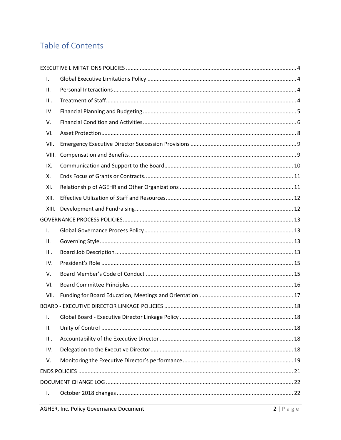# Table of Contents

| I.    |  |
|-------|--|
| ΙΙ.   |  |
| Ш.    |  |
| IV.   |  |
| V.    |  |
| VI.   |  |
| VII.  |  |
| VIII. |  |
| IX.   |  |
| Χ.    |  |
| XI.   |  |
| XII.  |  |
| XIII. |  |
|       |  |
| Τ.    |  |
| Ш.    |  |
| III.  |  |
| IV.   |  |
| V.    |  |
| VI.   |  |
| VII.  |  |
|       |  |
| Ι.    |  |
| П.    |  |
| III.  |  |
| IV.   |  |
| V.    |  |
|       |  |
|       |  |
| Ι.    |  |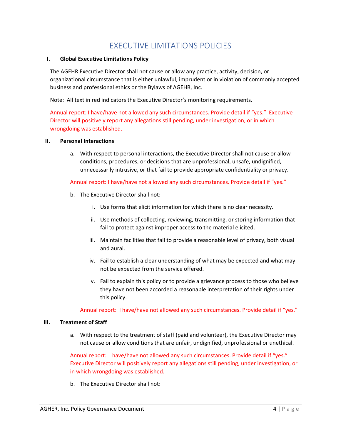# EXECUTIVE LIMITATIONS POLICIES

#### <span id="page-3-1"></span><span id="page-3-0"></span>**I. Global Executive Limitations Policy**

The AGEHR Executive Director shall not cause or allow any practice, activity, decision, or organizational circumstance that is either unlawful, imprudent or in violation of commonly accepted business and professional ethics or the Bylaws of AGEHR, Inc.

Note: All text in red indicators the Executive Director's monitoring requirements.

Annual report: I have/have not allowed any such circumstances. Provide detail if "yes." Executive Director will positively report any allegations still pending, under investigation, or in which wrongdoing was established.

#### <span id="page-3-2"></span>**II. Personal Interactions**

a. With respect to personal interactions, the Executive Director shall not cause or allow conditions, procedures, or decisions that are unprofessional, unsafe, undignified, unnecessarily intrusive, or that fail to provide appropriate confidentiality or privacy.

#### Annual report: I have/have not allowed any such circumstances. Provide detail if "yes."

- b. The Executive Director shall not:
	- i. Use forms that elicit information for which there is no clear necessity.
	- ii. Use methods of collecting, reviewing, transmitting, or storing information that fail to protect against improper access to the material elicited.
	- iii. Maintain facilities that fail to provide a reasonable level of privacy, both visual and aural.
	- iv. Fail to establish a clear understanding of what may be expected and what may not be expected from the service offered.
	- v. Fail to explain this policy or to provide a grievance process to those who believe they have not been accorded a reasonable interpretation of their rights under this policy.

Annual report: I have/have not allowed any such circumstances. Provide detail if "yes."

#### <span id="page-3-3"></span>**III. Treatment of Staff**

a. With respect to the treatment of staff (paid and volunteer), the Executive Director may not cause or allow conditions that are unfair, undignified, unprofessional or unethical.

Annual report: I have/have not allowed any such circumstances. Provide detail if "yes." Executive Director will positively report any allegations still pending, under investigation, or in which wrongdoing was established.

b. The Executive Director shall not: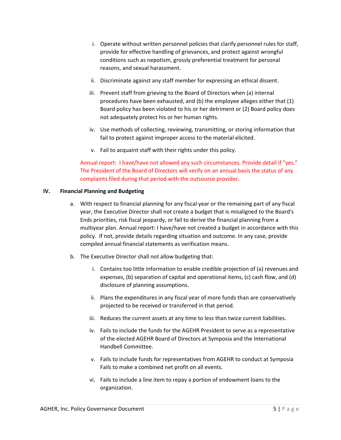- i. Operate without written personnel policies that clarify personnel rules for staff, provide for effective handling of grievances, and protect against wrongful conditions such as nepotism, grossly preferential treatment for personal reasons, and sexual harassment.
- ii. Discriminate against any staff member for expressing an ethical dissent.
- iii. Prevent staff from grieving to the Board of Directors when (a) internal procedures have been exhausted, and (b) the employee alleges either that (1) Board policy has been violated to his or her detriment or (2) Board policy does not adequately protect his or her human rights.
- iv. Use methods of collecting, reviewing, transmitting, or storing information that fail to protect against improper access to the material elicited.
- v. Fail to acquaint staff with their rights under this policy.

Annual report: I have/have not allowed any such circumstances. Provide detail if "yes." The President of the Board of Directors will verify on an annual basis the status of any complaints filed during that period with the outsource provider.

#### <span id="page-4-0"></span>**IV. Financial Planning and Budgeting**

- a. With respect to financial planning for any fiscal year or the remaining part of any fiscal year, the Executive Director shall not create a budget that is misaligned to the Board's Ends priorities, risk fiscal jeopardy, or fail to derive the financial planning from a multiyear plan. Annual report: I have/have not created a budget in accordance with this policy. If not, provide details regarding situation and outcome. In any case, provide compiled annual financial statements as verification means.
- b. The Executive Director shall not allow budgeting that:
	- i. Contains too little information to enable credible projection of (a) revenues and expenses, (b) separation of capital and operational items, (c) cash flow, and (d) disclosure of planning assumptions.
	- ii. Plans the expenditures in any fiscal year of more funds than are conservatively projected to be received or transferred in that period.
	- iii. Reduces the current assets at any time to less than twice current liabilities.
	- iv. Fails to include the funds for the AGEHR President to serve as a representative of the elected AGEHR Board of Directors at Symposia and the International Handbell Committee.
	- v. Fails to include funds for representatives from AGEHR to conduct at Symposia Fails to make a combined net profit on all events.
	- vi. Fails to include a line item to repay a portion of endowment loans to the organization.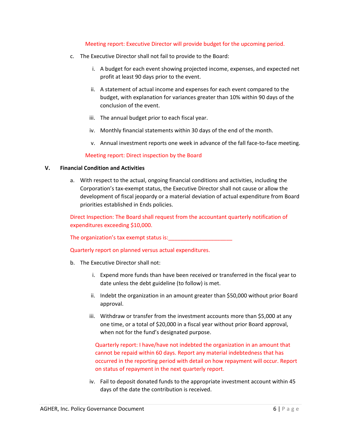#### Meeting report: Executive Director will provide budget for the upcoming period.

- c. The Executive Director shall not fail to provide to the Board:
	- i. A budget for each event showing projected income, expenses, and expected net profit at least 90 days prior to the event.
	- ii. A statement of actual income and expenses for each event compared to the budget, with explanation for variances greater than 10% within 90 days of the conclusion of the event.
	- iii. The annual budget prior to each fiscal year.
	- iv. Monthly financial statements within 30 days of the end of the month.
	- v. Annual investment reports one week in advance of the fall face-to-face meeting.

#### Meeting report: Direct inspection by the Board

#### <span id="page-5-0"></span>**V. Financial Condition and Activities**

a. With respect to the actual, ongoing financial conditions and activities, including the Corporation's tax-exempt status, the Executive Director shall not cause or allow the development of fiscal jeopardy or a material deviation of actual expenditure from Board priorities established in Ends policies.

Direct Inspection: The Board shall request from the accountant quarterly notification of expenditures exceeding \$10,000.

The organization's tax exempt status is:

Quarterly report on planned versus actual expenditures.

- b. The Executive Director shall not:
	- i. Expend more funds than have been received or transferred in the fiscal year to date unless the debt guideline (to follow) is met.
	- ii. Indebt the organization in an amount greater than \$50,000 without prior Board approval.
	- iii. Withdraw or transfer from the investment accounts more than \$5,000 at any one time, or a total of \$20,000 in a fiscal year without prior Board approval, when not for the fund's designated purpose.

Quarterly report: I have/have not indebted the organization in an amount that cannot be repaid within 60 days. Report any material indebtedness that has occurred in the reporting period with detail on how repayment will occur. Report on status of repayment in the next quarterly report.

iv. Fail to deposit donated funds to the appropriate investment account within 45 days of the date the contribution is received.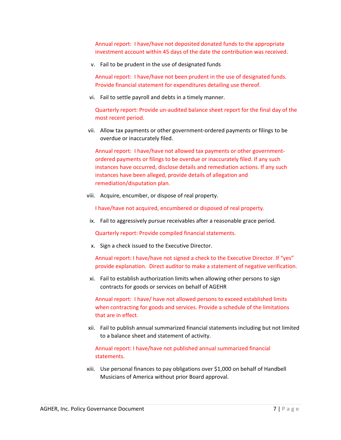Annual report: I have/have not deposited donated funds to the appropriate investment account within 45 days of the date the contribution was received.

v. Fail to be prudent in the use of designated funds

Annual report: I have/have not been prudent in the use of designated funds. Provide financial statement for expenditures detailing use thereof.

vi. Fail to settle payroll and debts in a timely manner.

Quarterly report: Provide un-audited balance sheet report for the final day of the most recent period.

vii. Allow tax payments or other government-ordered payments or filings to be overdue or inaccurately filed.

Annual report: I have/have not allowed tax payments or other governmentordered payments or filings to be overdue or inaccurately filed. If any such instances have occurred, disclose details and remediation actions. If any such instances have been alleged, provide details of allegation and remediation/disputation plan.

viii. Acquire, encumber, or dispose of real property.

I have/have not acquired, encumbered or disposed of real property.

ix. Fail to aggressively pursue receivables after a reasonable grace period.

Quarterly report: Provide compiled financial statements.

x. Sign a check issued to the Executive Director.

Annual report: I have/have not signed a check to the Executive Director. If "yes" provide explanation. Direct auditor to make a statement of negative verification.

xi. Fail to establish authorization limits when allowing other persons to sign contracts for goods or services on behalf of AGEHR

Annual report: I have/ have not allowed persons to exceed established limits when contracting for goods and services. Provide a schedule of the limitations that are in effect.

xii. Fail to publish annual summarized financial statements including but not limited to a balance sheet and statement of activity.

Annual report: I have/have not published annual summarized financial statements.

xiii. Use personal finances to pay obligations over \$1,000 on behalf of Handbell Musicians of America without prior Board approval.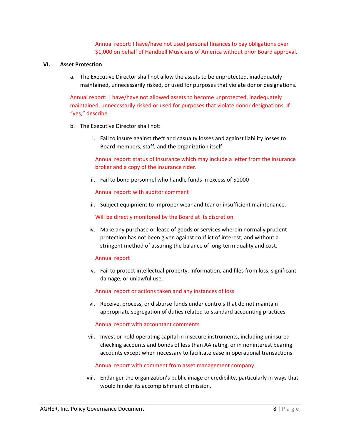Annual report: I have/have not used personal finances to pay obligations over \$1,000 on behalf of Handbell Musicians of America without prior Board approval.

#### <span id="page-7-0"></span>**VI. Asset Protection**

a. The Executive Director shall not allow the assets to be unprotected, inadequately maintained, unnecessarily risked, or used for purposes that violate donor designations.

Annual report: I have/have not allowed assets to become unprotected, inadequately maintained, unnecessarily risked or used for purposes that violate donor designations. If "yes," describe.

- b. The Executive Director shall not:
	- i. Fail to insure against theft and casualty losses and against liability losses to Board members, staff, and the organization itself

Annual report: status of insurance which may include a letter from the insurance broker and a copy of the insurance rider.

ii. Fail to bond personnel who handle funds in excess of \$1000

Annual report: with auditor comment

iii. Subject equipment to improper wear and tear or insufficient maintenance.

Will be directly monitored by the Board at its discretion

iv. Make any purchase or lease of goods or services wherein normally prudent protection has not been given against conflict of interest; and without a stringent method of assuring the balance of long-term quality and cost.

#### Annual report

v. Fail to protect intellectual property, information, and files from loss, significant damage, or unlawful use.

Annual report or actions taken and any instances of loss

vi. Receive, process, or disburse funds under controls that do not maintain appropriate segregation of duties related to standard accounting practices

#### Annual report with accountant comments

vii. Invest or hold operating capital in insecure instruments, including uninsured checking accounts and bonds of less than AA rating, or in noninterest bearing accounts except when necessary to facilitate ease in operational transactions.

#### Annual report with comment from asset management company.

viii. Endanger the organization's public image or credibility, particularly in ways that would hinder its accomplishment of mission.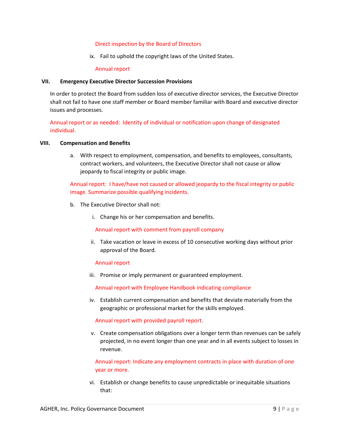#### Direct inspection by the Board of Directors

ix. Fail to uphold the copyright laws of the United States.

Annual report

#### <span id="page-8-0"></span>**VII. Emergency Executive Director Succession Provisions**

In order to protect the Board from sudden loss of executive director services, the Executive Director shall not fail to have one staff member or Board member familiar with Board and executive director issues and processes.

Annual report or as needed: Identity of individual or notification upon change of designated individual.

#### <span id="page-8-1"></span>**VIII. Compensation and Benefits**

a. With respect to employment, compensation, and benefits to employees, consultants, contract workers, and volunteers, the Executive Director shall not cause or allow jeopardy to fiscal integrity or public image.

Annual report: I have/have not caused or allowed jeopardy to the fiscal integrity or public image. Summarize possible qualifying incidents.

- b. The Executive Director shall not:
	- i. Change his or her compensation and benefits.

Annual report with comment from payroll company

ii. Take vacation or leave in excess of 10 consecutive working days without prior approval of the Board.

#### Annual report

iii. Promise or imply permanent or guaranteed employment.

Annual report with Employee Handbook indicating compliance

iv. Establish current compensation and benefits that deviate materially from the geographic or professional market for the skills employed.

Annual report with provided payroll report.

v. Create compensation obligations over a longer term than revenues can be safely projected, in no event longer than one year and in all events subject to losses in revenue.

Annual report: Indicate any employment contracts in place with duration of one year or more.

vi. Establish or change benefits to cause unpredictable or inequitable situations that: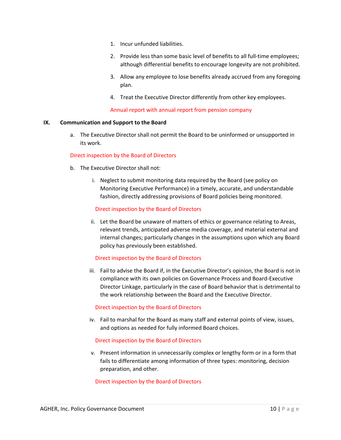- 1. Incur unfunded liabilities.
- 2. Provide less than some basic level of benefits to all full-time employees; although differential benefits to encourage longevity are not prohibited.
- 3. Allow any employee to lose benefits already accrued from any foregoing plan.
- 4. Treat the Executive Director differently from other key employees.

#### Annual report with annual report from pension company

#### <span id="page-9-0"></span>**IX. Communication and Support to the Board**

a. The Executive Director shall not permit the Board to be uninformed or unsupported in its work.

#### Direct inspection by the Board of Directors

- b. The Executive Director shall not:
	- i. Neglect to submit monitoring data required by the Board (see policy on Monitoring Executive Performance) in a timely, accurate, and understandable fashion, directly addressing provisions of Board policies being monitored.

#### Direct inspection by the Board of Directors

ii. Let the Board be unaware of matters of ethics or governance relating to Areas, relevant trends, anticipated adverse media coverage, and material external and internal changes; particularly changes in the assumptions upon which any Board policy has previously been established.

#### Direct inspection by the Board of Directors

iii. Fail to advise the Board if, in the Executive Director's opinion, the Board is not in compliance with its own policies on Governance Process and Board-Executive Director Linkage, particularly in the case of Board behavior that is detrimental to the work relationship between the Board and the Executive Director.

#### Direct inspection by the Board of Directors

iv. Fail to marshal for the Board as many staff and external points of view, issues, and options as needed for fully informed Board choices.

#### Direct inspection by the Board of Directors

v. Present information in unnecessarily complex or lengthy form or in a form that fails to differentiate among information of three types: monitoring, decision preparation, and other.

#### Direct inspection by the Board of Directors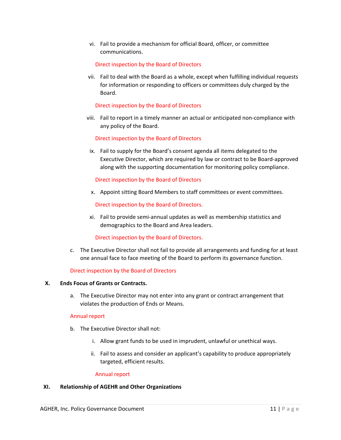vi. Fail to provide a mechanism for official Board, officer, or committee communications.

#### Direct inspection by the Board of Directors

vii. Fail to deal with the Board as a whole, except when fulfilling individual requests for information or responding to officers or committees duly charged by the Board.

#### Direct inspection by the Board of Directors

viii. Fail to report in a timely manner an actual or anticipated non-compliance with any policy of the Board.

#### Direct inspection by the Board of Directors

ix. Fail to supply for the Board's consent agenda all items delegated to the Executive Director, which are required by law or contract to be Board-approved along with the supporting documentation for monitoring policy compliance.

#### Direct inspection by the Board of Directors

x. Appoint sitting Board Members to staff committees or event committees.

Direct inspection by the Board of Directors.

xi. Fail to provide semi-annual updates as well as membership statistics and demographics to the Board and Area leaders.

#### Direct inspection by the Board of Directors.

c. The Executive Director shall not fail to provide all arrangements and funding for at least one annual face to face meeting of the Board to perform its governance function.

#### Direct inspection by the Board of Directors

#### <span id="page-10-0"></span>**X. Ends Focus of Grants or Contracts.**

a. The Executive Director may not enter into any grant or contract arrangement that violates the production of Ends or Means.

#### Annual report

- b. The Executive Director shall not:
	- i. Allow grant funds to be used in imprudent, unlawful or unethical ways.
	- ii. Fail to assess and consider an applicant's capability to produce appropriately targeted, efficient results.

#### Annual report

#### <span id="page-10-1"></span>**XI. Relationship of AGEHR and Other Organizations**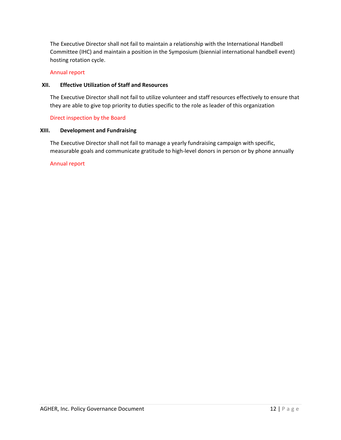The Executive Director shall not fail to maintain a relationship with the International Handbell Committee (IHC) and maintain a position in the Symposium (biennial international handbell event) hosting rotation cycle.

#### Annual report

#### <span id="page-11-0"></span>**XII. Effective Utilization of Staff and Resources**

The Executive Director shall not fail to utilize volunteer and staff resources effectively to ensure that they are able to give top priority to duties specific to the role as leader of this organization

#### Direct inspection by the Board

#### <span id="page-11-1"></span>**XIII. Development and Fundraising**

The Executive Director shall not fail to manage a yearly fundraising campaign with specific, measurable goals and communicate gratitude to high-level donors in person or by phone annually

#### Annual report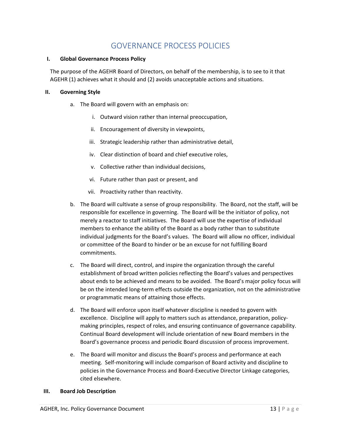# GOVERNANCE PROCESS POLICIES

#### <span id="page-12-1"></span><span id="page-12-0"></span>**I. Global Governance Process Policy**

The purpose of the AGEHR Board of Directors, on behalf of the membership, is to see to it that AGEHR (1) achieves what it should and (2) avoids unacceptable actions and situations.

#### <span id="page-12-2"></span>**II. Governing Style**

- a. The Board will govern with an emphasis on:
	- i. Outward vision rather than internal preoccupation,
	- ii. Encouragement of diversity in viewpoints,
	- iii. Strategic leadership rather than administrative detail,
	- iv. Clear distinction of board and chief executive roles,
	- v. Collective rather than individual decisions,
	- vi. Future rather than past or present, and
	- vii. Proactivity rather than reactivity.
- b. The Board will cultivate a sense of group responsibility. The Board, not the staff, will be responsible for excellence in governing. The Board will be the initiator of policy, not merely a reactor to staff initiatives. The Board will use the expertise of individual members to enhance the ability of the Board as a body rather than to substitute individual judgments for the Board's values. The Board will allow no officer, individual or committee of the Board to hinder or be an excuse for not fulfilling Board commitments.
- c. The Board will direct, control, and inspire the organization through the careful establishment of broad written policies reflecting the Board's values and perspectives about ends to be achieved and means to be avoided. The Board's major policy focus will be on the intended long-term effects outside the organization, not on the administrative or programmatic means of attaining those effects.
- d. The Board will enforce upon itself whatever discipline is needed to govern with excellence. Discipline will apply to matters such as attendance, preparation, policymaking principles, respect of roles, and ensuring continuance of governance capability. Continual Board development will include orientation of new Board members in the Board's governance process and periodic Board discussion of process improvement.
- e. The Board will monitor and discuss the Board's process and performance at each meeting. Self-monitoring will include comparison of Board activity and discipline to policies in the Governance Process and Board-Executive Director Linkage categories, cited elsewhere.

#### <span id="page-12-3"></span>**III. Board Job Description**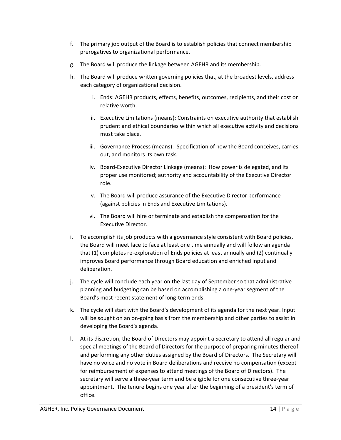- f. The primary job output of the Board is to establish policies that connect membership prerogatives to organizational performance.
- g. The Board will produce the linkage between AGEHR and its membership.
- h. The Board will produce written governing policies that, at the broadest levels, address each category of organizational decision.
	- i. Ends: AGEHR products, effects, benefits, outcomes, recipients, and their cost or relative worth.
	- ii. Executive Limitations (means): Constraints on executive authority that establish prudent and ethical boundaries within which all executive activity and decisions must take place.
	- iii. Governance Process (means): Specification of how the Board conceives, carries out, and monitors its own task.
	- iv. Board-Executive Director Linkage (means): How power is delegated, and its proper use monitored; authority and accountability of the Executive Director role.
	- v. The Board will produce assurance of the Executive Director performance (against policies in Ends and Executive Limitations).
	- vi. The Board will hire or terminate and establish the compensation for the Executive Director.
- i. To accomplish its job products with a governance style consistent with Board policies, the Board will meet face to face at least one time annually and will follow an agenda that (1) completes re-exploration of Ends policies at least annually and (2) continually improves Board performance through Board education and enriched input and deliberation.
- j. The cycle will conclude each year on the last day of September so that administrative planning and budgeting can be based on accomplishing a one-year segment of the Board's most recent statement of long-term ends.
- k. The cycle will start with the Board's development of its agenda for the next year. Input will be sought on an on-going basis from the membership and other parties to assist in developing the Board's agenda.
- l. At its discretion, the Board of Directors may appoint a Secretary to attend all regular and special meetings of the Board of Directors for the purpose of preparing minutes thereof and performing any other duties assigned by the Board of Directors. The Secretary will have no voice and no vote in Board deliberations and receive no compensation (except for reimbursement of expenses to attend meetings of the Board of Directors). The secretary will serve a three-year term and be eligible for one consecutive three-year appointment. The tenure begins one year after the beginning of a president's term of office.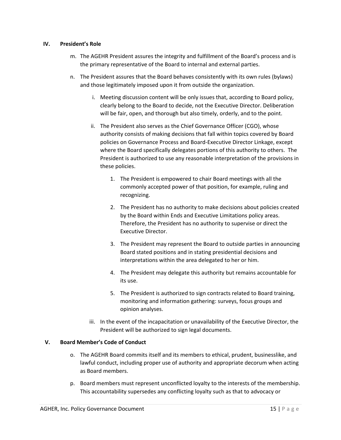#### <span id="page-14-0"></span>**IV. President's Role**

- m. The AGEHR President assures the integrity and fulfillment of the Board's process and is the primary representative of the Board to internal and external parties.
- n. The President assures that the Board behaves consistently with its own rules (bylaws) and those legitimately imposed upon it from outside the organization.
	- i. Meeting discussion content will be only issues that, according to Board policy, clearly belong to the Board to decide, not the Executive Director. Deliberation will be fair, open, and thorough but also timely, orderly, and to the point.
	- ii. The President also serves as the Chief Governance Officer (CGO), whose authority consists of making decisions that fall within topics covered by Board policies on Governance Process and Board-Executive Director Linkage, except where the Board specifically delegates portions of this authority to others. The President is authorized to use any reasonable interpretation of the provisions in these policies.
		- 1. The President is empowered to chair Board meetings with all the commonly accepted power of that position, for example, ruling and recognizing.
		- 2. The President has no authority to make decisions about policies created by the Board within Ends and Executive Limitations policy areas. Therefore, the President has no authority to supervise or direct the Executive Director.
		- 3. The President may represent the Board to outside parties in announcing Board stated positions and in stating presidential decisions and interpretations within the area delegated to her or him.
		- 4. The President may delegate this authority but remains accountable for its use.
		- 5. The President is authorized to sign contracts related to Board training, monitoring and information gathering: surveys, focus groups and opinion analyses.
	- iii. In the event of the incapacitation or unavailability of the Executive Director, the President will be authorized to sign legal documents.

#### <span id="page-14-1"></span>**V. Board Member's Code of Conduct**

- o. The AGEHR Board commits itself and its members to ethical, prudent, businesslike, and lawful conduct, including proper use of authority and appropriate decorum when acting as Board members.
- p. Board members must represent unconflicted loyalty to the interests of the membership. This accountability supersedes any conflicting loyalty such as that to advocacy or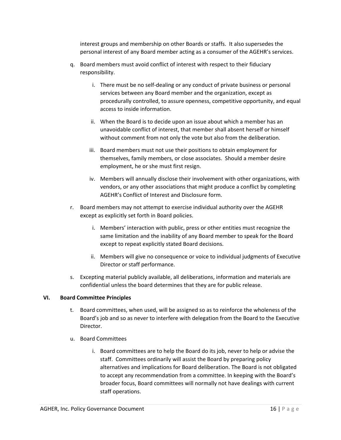interest groups and membership on other Boards or staffs. It also supersedes the personal interest of any Board member acting as a consumer of the AGEHR's services.

- q. Board members must avoid conflict of interest with respect to their fiduciary responsibility.
	- i. There must be no self-dealing or any conduct of private business or personal services between any Board member and the organization, except as procedurally controlled, to assure openness, competitive opportunity, and equal access to inside information.
	- ii. When the Board is to decide upon an issue about which a member has an unavoidable conflict of interest, that member shall absent herself or himself without comment from not only the vote but also from the deliberation.
	- iii. Board members must not use their positions to obtain employment for themselves, family members, or close associates. Should a member desire employment, he or she must first resign.
	- iv. Members will annually disclose their involvement with other organizations, with vendors, or any other associations that might produce a conflict by completing AGEHR's Conflict of Interest and Disclosure form.
- r. Board members may not attempt to exercise individual authority over the AGEHR except as explicitly set forth in Board policies.
	- i. Members' interaction with public, press or other entities must recognize the same limitation and the inability of any Board member to speak for the Board except to repeat explicitly stated Board decisions.
	- ii. Members will give no consequence or voice to individual judgments of Executive Director or staff performance.
- s. Excepting material publicly available, all deliberations, information and materials are confidential unless the board determines that they are for public release.

#### <span id="page-15-0"></span>**VI. Board Committee Principles**

- t. Board committees, when used, will be assigned so as to reinforce the wholeness of the Board's job and so as never to interfere with delegation from the Board to the Executive Director.
- u. Board Committees
	- i. Board committees are to help the Board do its job, never to help or advise the staff. Committees ordinarily will assist the Board by preparing policy alternatives and implications for Board deliberation. The Board is not obligated to accept any recommendation from a committee. In keeping with the Board's broader focus, Board committees will normally not have dealings with current staff operations.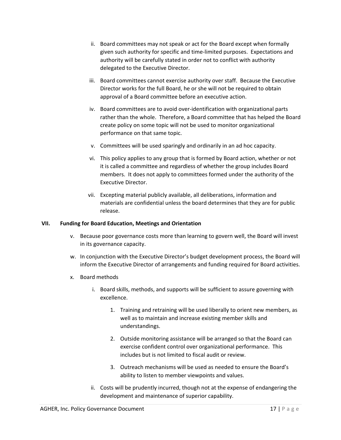- ii. Board committees may not speak or act for the Board except when formally given such authority for specific and time-limited purposes. Expectations and authority will be carefully stated in order not to conflict with authority delegated to the Executive Director.
- iii. Board committees cannot exercise authority over staff. Because the Executive Director works for the full Board, he or she will not be required to obtain approval of a Board committee before an executive action.
- iv. Board committees are to avoid over-identification with organizational parts rather than the whole. Therefore, a Board committee that has helped the Board create policy on some topic will not be used to monitor organizational performance on that same topic.
- v. Committees will be used sparingly and ordinarily in an ad hoc capacity.
- vi. This policy applies to any group that is formed by Board action, whether or not it is called a committee and regardless of whether the group includes Board members. It does not apply to committees formed under the authority of the Executive Director.
- vii. Excepting material publicly available, all deliberations, information and materials are confidential unless the board determines that they are for public release.

#### <span id="page-16-0"></span>**VII. Funding for Board Education, Meetings and Orientation**

- v. Because poor governance costs more than learning to govern well, the Board will invest in its governance capacity.
- w. In conjunction with the Executive Director's budget development process, the Board will inform the Executive Director of arrangements and funding required for Board activities.
- x. Board methods
	- i. Board skills, methods, and supports will be sufficient to assure governing with excellence.
		- 1. Training and retraining will be used liberally to orient new members, as well as to maintain and increase existing member skills and understandings.
		- 2. Outside monitoring assistance will be arranged so that the Board can exercise confident control over organizational performance. This includes but is not limited to fiscal audit or review.
		- 3. Outreach mechanisms will be used as needed to ensure the Board's ability to listen to member viewpoints and values.
	- ii. Costs will be prudently incurred, though not at the expense of endangering the development and maintenance of superior capability.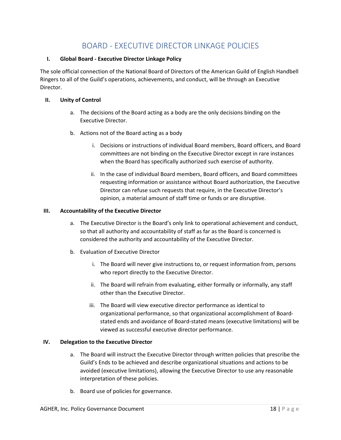# BOARD - EXECUTIVE DIRECTOR LINKAGE POLICIES

#### <span id="page-17-1"></span><span id="page-17-0"></span>**I. Global Board - Executive Director Linkage Policy**

The sole official connection of the National Board of Directors of the American Guild of English Handbell Ringers to all of the Guild's operations, achievements, and conduct, will be through an Executive Director.

#### <span id="page-17-2"></span>**II. Unity of Control**

- a. The decisions of the Board acting as a body are the only decisions binding on the Executive Director.
- b. Actions not of the Board acting as a body
	- i. Decisions or instructions of individual Board members, Board officers, and Board committees are not binding on the Executive Director except in rare instances when the Board has specifically authorized such exercise of authority.
	- ii. In the case of individual Board members, Board officers, and Board committees requesting information or assistance without Board authorization, the Executive Director can refuse such requests that require, in the Executive Director's opinion, a material amount of staff time or funds or are disruptive.

#### <span id="page-17-3"></span>**III. Accountability of the Executive Director**

- a. The Executive Director is the Board's only link to operational achievement and conduct, so that all authority and accountability of staff as far as the Board is concerned is considered the authority and accountability of the Executive Director.
- b. Evaluation of Executive Director
	- i. The Board will never give instructions to, or request information from, persons who report directly to the Executive Director.
	- ii. The Board will refrain from evaluating, either formally or informally, any staff other than the Executive Director.
	- iii. The Board will view executive director performance as identical to organizational performance, so that organizational accomplishment of Boardstated ends and avoidance of Board-stated means (executive limitations) will be viewed as successful executive director performance.

#### <span id="page-17-4"></span>**IV. Delegation to the Executive Director**

- a. The Board will instruct the Executive Director through written policies that prescribe the Guild's Ends to be achieved and describe organizational situations and actions to be avoided (executive limitations), allowing the Executive Director to use any reasonable interpretation of these policies.
- b. Board use of policies for governance.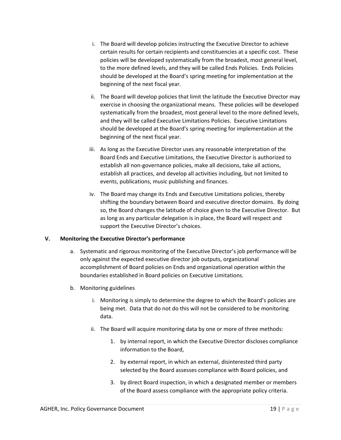- i. The Board will develop policies instructing the Executive Director to achieve certain results for certain recipients and constituencies at a specific cost. These policies will be developed systematically from the broadest, most general level, to the more defined levels, and they will be called Ends Policies. Ends Policies should be developed at the Board's spring meeting for implementation at the beginning of the next fiscal year.
- ii. The Board will develop policies that limit the latitude the Executive Director may exercise in choosing the organizational means. These policies will be developed systematically from the broadest, most general level to the more defined levels, and they will be called Executive Limitations Policies. Executive Limitations should be developed at the Board's spring meeting for implementation at the beginning of the next fiscal year.
- iii. As long as the Executive Director uses any reasonable interpretation of the Board Ends and Executive Limitations, the Executive Director is authorized to establish all non-governance policies, make all decisions, take all actions, establish all practices, and develop all activities including, but not limited to events, publications, music publishing and finances.
- iv. The Board may change its Ends and Executive Limitations policies, thereby shifting the boundary between Board and executive director domains. By doing so, the Board changes the latitude of choice given to the Executive Director. But as long as any particular delegation is in place, the Board will respect and support the Executive Director's choices.

#### <span id="page-18-0"></span>**V. Monitoring the Executive Director's performance**

- a. Systematic and rigorous monitoring of the Executive Director's job performance will be only against the expected executive director job outputs, organizational accomplishment of Board policies on Ends and organizational operation within the boundaries established in Board policies on Executive Limitations.
- b. Monitoring guidelines
	- i. Monitoring is simply to determine the degree to which the Board's policies are being met. Data that do not do this will not be considered to be monitoring data.
	- ii. The Board will acquire monitoring data by one or more of three methods:
		- 1. by internal report, in which the Executive Director discloses compliance information to the Board,
		- 2. by external report, in which an external, disinterested third party selected by the Board assesses compliance with Board policies, and
		- 3. by direct Board inspection, in which a designated member or members of the Board assess compliance with the appropriate policy criteria.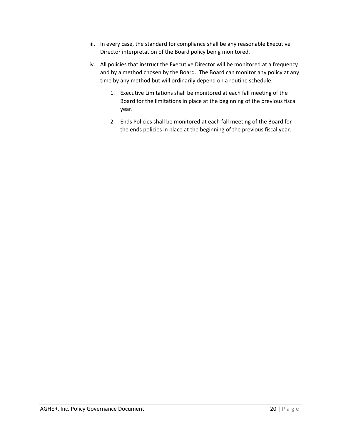- iii. In every case, the standard for compliance shall be any reasonable Executive Director interpretation of the Board policy being monitored.
- iv. All policies that instruct the Executive Director will be monitored at a frequency and by a method chosen by the Board. The Board can monitor any policy at any time by any method but will ordinarily depend on a routine schedule.
	- 1. Executive Limitations shall be monitored at each fall meeting of the Board for the limitations in place at the beginning of the previous fiscal year.
	- 2. Ends Policies shall be monitored at each fall meeting of the Board for the ends policies in place at the beginning of the previous fiscal year.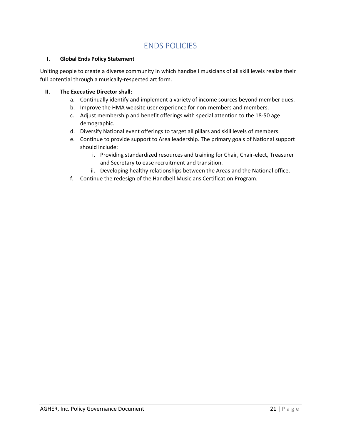# ENDS POLICIES

#### <span id="page-20-0"></span>**I. Global Ends Policy Statement**

Uniting people to create a diverse community in which handbell musicians of all skill levels realize their full potential through a musically-respected art form.

#### **II. The Executive Director shall:**

- a. Continually identify and implement a variety of income sources beyond member dues.
- b. Improve the HMA website user experience for non-members and members.
- c. Adjust membership and benefit offerings with special attention to the 18-50 age demographic.
- d. Diversify National event offerings to target all pillars and skill levels of members.
- e. Continue to provide support to Area leadership. The primary goals of National support should include:
	- i. Providing standardized resources and training for Chair, Chair-elect, Treasurer and Secretary to ease recruitment and transition.
	- ii. Developing healthy relationships between the Areas and the National office.
- f. Continue the redesign of the Handbell Musicians Certification Program.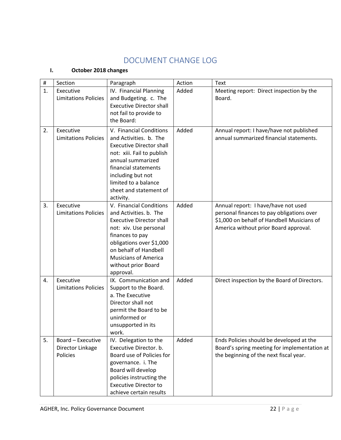# DOCUMENT CHANGE LOG

## <span id="page-21-1"></span><span id="page-21-0"></span>**I. October 2018 changes**

| $\#$ | Section                                           | Paragraph                                                                                                                                                                                                                                                 | Action | Text                                                                                                                                                                    |
|------|---------------------------------------------------|-----------------------------------------------------------------------------------------------------------------------------------------------------------------------------------------------------------------------------------------------------------|--------|-------------------------------------------------------------------------------------------------------------------------------------------------------------------------|
| 1.   | Executive<br><b>Limitations Policies</b>          | IV. Financial Planning<br>and Budgeting. c. The<br><b>Executive Director shall</b><br>not fail to provide to<br>the Board:                                                                                                                                | Added  | Meeting report: Direct inspection by the<br>Board.                                                                                                                      |
| 2.   | Executive<br><b>Limitations Policies</b>          | V. Financial Conditions<br>and Activities. b. The<br><b>Executive Director shall</b><br>not: xiii. Fail to publish<br>annual summarized<br>financial statements<br>including but not<br>limited to a balance<br>sheet and statement of<br>activity.       | Added  | Annual report: I have/have not published<br>annual summarized financial statements.                                                                                     |
| 3.   | Executive<br><b>Limitations Policies</b>          | V. Financial Conditions<br>and Activities. b. The<br><b>Executive Director shall</b><br>not: xiv. Use personal<br>finances to pay<br>obligations over \$1,000<br>on behalf of Handbell<br><b>Musicians of America</b><br>without prior Board<br>approval. | Added  | Annual report: I have/have not used<br>personal finances to pay obligations over<br>\$1,000 on behalf of Handbell Musicians of<br>America without prior Board approval. |
| 4.   | Executive<br><b>Limitations Policies</b>          | IX. Communication and<br>Support to the Board.<br>a. The Executive<br>Director shall not<br>permit the Board to be<br>uninformed or<br>unsupported in its<br>work.                                                                                        | Added  | Direct inspection by the Board of Directors.                                                                                                                            |
| 5.   | Board - Executive<br>Director Linkage<br>Policies | IV. Delegation to the<br>Executive Director. b.<br>Board use of Policies for<br>governance. i. The<br>Board will develop<br>policies instructing the<br><b>Executive Director to</b><br>achieve certain results                                           | Added  | Ends Policies should be developed at the<br>Board's spring meeting for implementation at<br>the beginning of the next fiscal year.                                      |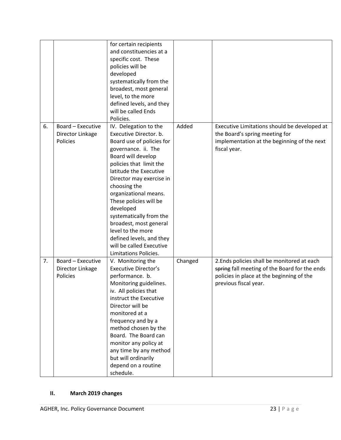|    |                                                   | for certain recipients<br>and constituencies at a<br>specific cost. These<br>policies will be<br>developed<br>systematically from the<br>broadest, most general<br>level, to the more<br>defined levels, and they<br>will be called Ends<br>Policies.                                                                                                                                                                                                 |         |                                                                                                                                                                    |
|----|---------------------------------------------------|-------------------------------------------------------------------------------------------------------------------------------------------------------------------------------------------------------------------------------------------------------------------------------------------------------------------------------------------------------------------------------------------------------------------------------------------------------|---------|--------------------------------------------------------------------------------------------------------------------------------------------------------------------|
| 6. | Board - Executive<br>Director Linkage<br>Policies | IV. Delegation to the<br>Executive Director. b.<br>Board use of policies for<br>governance. ii. The<br>Board will develop<br>policies that limit the<br>latitude the Executive<br>Director may exercise in<br>choosing the<br>organizational means.<br>These policies will be<br>developed<br>systematically from the<br>broadest, most general<br>level to the more<br>defined levels, and they<br>will be called Executive<br>Limitations Policies. | Added   | Executive Limitations should be developed at<br>the Board's spring meeting for<br>implementation at the beginning of the next<br>fiscal year.                      |
| 7. | Board - Executive<br>Director Linkage<br>Policies | V. Monitoring the<br><b>Executive Director's</b><br>performance. b.<br>Monitoring guidelines.<br>iv. All policies that<br>instruct the Executive<br>Director will be<br>monitored at a<br>frequency and by a<br>method chosen by the<br>Board. The Board can<br>monitor any policy at<br>any time by any method<br>but will ordinarily<br>depend on a routine<br>schedule.                                                                            | Changed | 2. Ends policies shall be monitored at each<br>spring fall meeting of the Board for the ends<br>policies in place at the beginning of the<br>previous fiscal year. |

## <span id="page-22-0"></span>**II. March 2019 changes**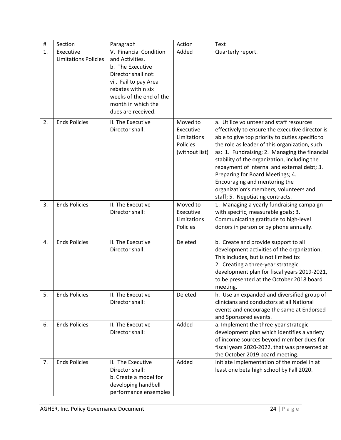| $\#$ | Section                                  | Paragraph                                                                                                                                                                                                  | Action                                                             | Text                                                                                                                                                                                                                                                                                                                                                                                                                                                                                               |
|------|------------------------------------------|------------------------------------------------------------------------------------------------------------------------------------------------------------------------------------------------------------|--------------------------------------------------------------------|----------------------------------------------------------------------------------------------------------------------------------------------------------------------------------------------------------------------------------------------------------------------------------------------------------------------------------------------------------------------------------------------------------------------------------------------------------------------------------------------------|
| 1.   | Executive<br><b>Limitations Policies</b> | V. Financial Condition<br>and Activities.<br>b. The Executive<br>Director shall not:<br>vii. Fail to pay Area<br>rebates within six<br>weeks of the end of the<br>month in which the<br>dues are received. | Added                                                              | Quarterly report.                                                                                                                                                                                                                                                                                                                                                                                                                                                                                  |
| 2.   | <b>Ends Policies</b>                     | II. The Executive<br>Director shall:                                                                                                                                                                       | Moved to<br>Executive<br>Limitations<br>Policies<br>(without list) | a. Utilize volunteer and staff resources<br>effectively to ensure the executive director is<br>able to give top priority to duties specific to<br>the role as leader of this organization, such<br>as: 1. Fundraising; 2. Managing the financial<br>stability of the organization, including the<br>repayment of internal and external debt; 3.<br>Preparing for Board Meetings; 4.<br>Encouraging and mentoring the<br>organization's members, volunteers and<br>staff; 5. Negotiating contracts. |
| 3.   | <b>Ends Policies</b>                     | II. The Executive<br>Director shall:                                                                                                                                                                       | Moved to<br>Executive<br>Limitations<br>Policies                   | 1. Managing a yearly fundraising campaign<br>with specific, measurable goals; 3.<br>Communicating gratitude to high-level<br>donors in person or by phone annually.                                                                                                                                                                                                                                                                                                                                |
| 4.   | <b>Ends Policies</b>                     | II. The Executive<br>Director shall:                                                                                                                                                                       | Deleted                                                            | b. Create and provide support to all<br>development activities of the organization.<br>This includes, but is not limited to:<br>2. Creating a three-year strategic<br>development plan for fiscal years 2019-2021,<br>to be presented at the October 2018 board<br>meeting.                                                                                                                                                                                                                        |
| 5.   | <b>Ends Policies</b>                     | II. The Executive<br>Director shall:                                                                                                                                                                       | Deleted                                                            | h. Use an expanded and diversified group of<br>clinicians and conductors at all National<br>events and encourage the same at Endorsed<br>and Sponsored events.                                                                                                                                                                                                                                                                                                                                     |
| 6.   | <b>Ends Policies</b>                     | II. The Executive<br>Director shall:                                                                                                                                                                       | Added                                                              | a. Implement the three-year strategic<br>development plan which identifies a variety<br>of income sources beyond member dues for<br>fiscal years 2020-2022, that was presented at<br>the October 2019 board meeting.                                                                                                                                                                                                                                                                               |
| 7.   | <b>Ends Policies</b>                     | II. The Executive<br>Director shall:<br>b. Create a model for<br>developing handbell<br>performance ensembles                                                                                              | Added                                                              | Initiate implementation of the model in at<br>least one beta high school by Fall 2020.                                                                                                                                                                                                                                                                                                                                                                                                             |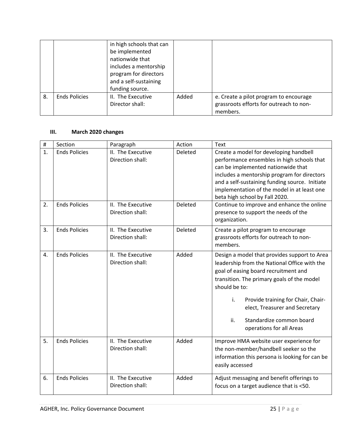|    |                      | in high schools that can<br>be implemented<br>nationwide that<br>includes a mentorship<br>program for directors<br>and a self-sustaining<br>funding source. |       |                                                                                               |
|----|----------------------|-------------------------------------------------------------------------------------------------------------------------------------------------------------|-------|-----------------------------------------------------------------------------------------------|
| 8. | <b>Ends Policies</b> | II. The Executive<br>Director shall:                                                                                                                        | Added | e. Create a pilot program to encourage<br>grassroots efforts for outreach to non-<br>members. |

#### <span id="page-24-0"></span>**III. March 2020 changes**

| $\#$ | Section              | Paragraph                             | Action  | Text                                                                                                                                                                                                                                                                                                                                             |
|------|----------------------|---------------------------------------|---------|--------------------------------------------------------------------------------------------------------------------------------------------------------------------------------------------------------------------------------------------------------------------------------------------------------------------------------------------------|
| 1.   | <b>Ends Policies</b> | II. The Executive<br>Direction shall: | Deleted | Create a model for developing handbell<br>performance ensembles in high schools that<br>can be implemented nationwide that<br>includes a mentorship program for directors<br>and a self-sustaining funding source. Initiate<br>implementation of the model in at least one<br>beta high school by Fall 2020.                                     |
| 2.   | <b>Ends Policies</b> | II. The Executive<br>Direction shall: | Deleted | Continue to improve and enhance the online<br>presence to support the needs of the<br>organization.                                                                                                                                                                                                                                              |
| 3.   | <b>Ends Policies</b> | II. The Executive<br>Direction shall: | Deleted | Create a pilot program to encourage<br>grassroots efforts for outreach to non-<br>members.                                                                                                                                                                                                                                                       |
| 4.   | <b>Ends Policies</b> | II. The Executive<br>Direction shall: | Added   | Design a model that provides support to Area<br>leadership from the National Office with the<br>goal of easing board recruitment and<br>transition. The primary goals of the model<br>should be to:<br>Provide training for Chair, Chair-<br>i.<br>elect, Treasurer and Secretary<br>ii.<br>Standardize common board<br>operations for all Areas |
| 5.   | <b>Ends Policies</b> | II. The Executive<br>Direction shall: | Added   | Improve HMA website user experience for<br>the non-member/handbell seeker so the<br>information this persona is looking for can be<br>easily accessed                                                                                                                                                                                            |
| 6.   | <b>Ends Policies</b> | II. The Executive<br>Direction shall: | Added   | Adjust messaging and benefit offerings to<br>focus on a target audience that is <50.                                                                                                                                                                                                                                                             |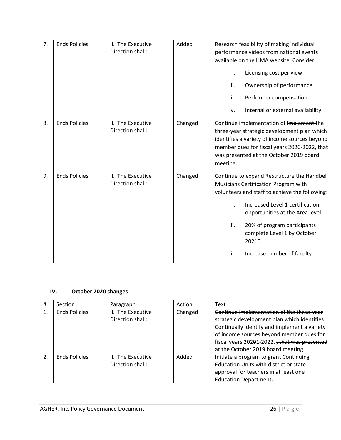| 7. | <b>Ends Policies</b> | II. The Executive<br>Direction shall: | Added   | Research feasibility of making individual<br>performance videos from national events<br>available on the HMA website. Consider:<br>i.<br>Licensing cost per view<br>Ownership of performance<br>ii.<br>iii.<br>Performer compensation<br>Internal or external availability<br>iv.                                                     |
|----|----------------------|---------------------------------------|---------|---------------------------------------------------------------------------------------------------------------------------------------------------------------------------------------------------------------------------------------------------------------------------------------------------------------------------------------|
| 8. | <b>Ends Policies</b> | II. The Executive<br>Direction shall: | Changed | Continue implementation of Implement-the<br>three-year strategic development plan which<br>identifies a variety of income sources beyond<br>member dues for fiscal years 2020-2022, that<br>was presented at the October 2019 board<br>meeting.                                                                                       |
| 9. | <b>Ends Policies</b> | II. The Executive<br>Direction shall: | Changed | Continue to expand Restructure the Handbell<br>Musicians Certification Program with<br>volunteers and staff to achieve the following:<br>Increased Level 1 certification<br>i.<br>opportunities at the Area level<br>ii.<br>20% of program participants<br>complete Level 1 by October<br>20210<br>iii.<br>Increase number of faculty |

## <span id="page-25-0"></span>**IV. October 2020 changes**

| #  | <b>Section</b>       | Paragraph                             | Action  | Text                                                                                                                                                                                                                                |
|----|----------------------|---------------------------------------|---------|-------------------------------------------------------------------------------------------------------------------------------------------------------------------------------------------------------------------------------------|
|    | <b>Ends Policies</b> | II. The Executive<br>Direction shall: | Changed | Continue implementation of the three-year<br>strategic development plan which identifies<br>Continually identify and implement a variety<br>of income sources beyond member dues for<br>fiscal years 20201-2022. that was presented |
|    |                      |                                       |         | at the October 2019 board meeting                                                                                                                                                                                                   |
| 2. | <b>Ends Policies</b> | II. The Executive<br>Direction shall: | Added   | Initiate a program to grant Continuing<br>Education Units with district or state<br>approval for teachers in at least one<br><b>Education Department.</b>                                                                           |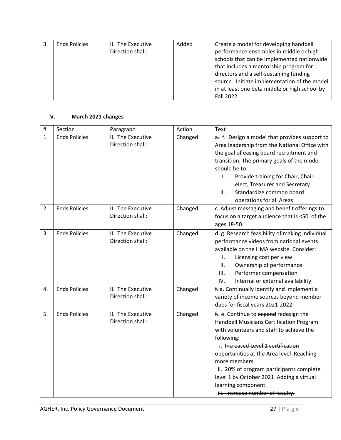| <b>Ends Policies</b> | II. The Executive | Added | Create a model for developing handbell        |
|----------------------|-------------------|-------|-----------------------------------------------|
|                      | Direction shall:  |       | performance ensembles in middle or high       |
|                      |                   |       | schools that can be implemented nationwide    |
|                      |                   |       | that includes a mentorship program for        |
|                      |                   |       | directors and a self-sustaining funding       |
|                      |                   |       | source. Initiate implementation of the model  |
|                      |                   |       | in at least one beta middle or high school by |
|                      |                   |       | Fall 2022.                                    |

#### <span id="page-26-0"></span>**V. March 2021 changes**

| $\#$ | Section              | Paragraph                             | Action  | Text                                                                                                                                                                                                                                                                                                                                                                                            |
|------|----------------------|---------------------------------------|---------|-------------------------------------------------------------------------------------------------------------------------------------------------------------------------------------------------------------------------------------------------------------------------------------------------------------------------------------------------------------------------------------------------|
| 1.   | <b>Ends Policies</b> | II. The Executive<br>Direction shall: | Changed | a. f. Design a model that provides support to<br>Area leadership from the National Office with<br>the goal of easing board recruitment and<br>transition. The primary goals of the model<br>should be to:<br>Provide training for Chair, Chair-<br>I.<br>elect, Treasurer and Secretary<br>Standardize common board<br>II.<br>operations for all Areas                                          |
| 2.   | <b>Ends Policies</b> | II. The Executive<br>Direction shall: | Changed | c. Adjust messaging and benefit offerings to<br>focus on a target audience that is <50 of the<br>ages 18-50.                                                                                                                                                                                                                                                                                    |
| 3.   | <b>Ends Policies</b> | II. The Executive<br>Direction shall: | Changed | d. g. Research feasibility of making individual<br>performance videos from national events<br>available on the HMA website. Consider:<br>Licensing cost per view<br>I.<br>Ownership of performance<br>ΙΙ.<br>Performer compensation<br>III.<br>Internal or external availability<br>IV.                                                                                                         |
| 4.   | <b>Ends Policies</b> | II. The Executive<br>Direction shall: | Changed | f. a. Continually identify and implement a<br>variety of income sources beyond member<br>dues for fiscal years 2021-2022.                                                                                                                                                                                                                                                                       |
| 5.   | <b>Ends Policies</b> | II. The Executive<br>Direction shall: | Changed | f. e. Continue to expand redesign the<br>Handbell Musicians Certification Program<br>with volunteers and staff to achieve the<br>following:<br>i. Increased Level 1 certification<br>opportunities at the Area level-Reaching<br>more members<br>ii. 20% of program participants complete<br>level 1 by October 2021 Adding a virtual<br>learning component<br>iii. Increase number of faculty. |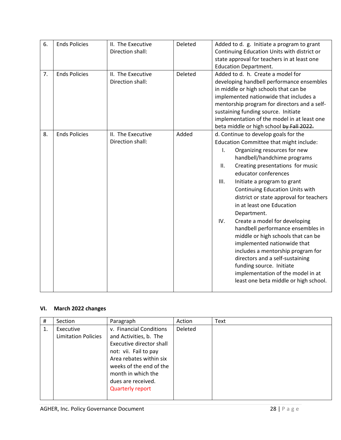| 6. | <b>Ends Policies</b> | II. The Executive<br>Direction shall: | Deleted | Added to d. g. Initiate a program to grant<br>Continuing Education Units with district or<br>state approval for teachers in at least one<br><b>Education Department.</b>                                                                                                                                                                                                                                                                                                                                                                                                                                                                                                                                                            |
|----|----------------------|---------------------------------------|---------|-------------------------------------------------------------------------------------------------------------------------------------------------------------------------------------------------------------------------------------------------------------------------------------------------------------------------------------------------------------------------------------------------------------------------------------------------------------------------------------------------------------------------------------------------------------------------------------------------------------------------------------------------------------------------------------------------------------------------------------|
| 7. | <b>Ends Policies</b> | II. The Executive<br>Direction shall: | Deleted | Added to d. h. Create a model for<br>developing handbell performance ensembles<br>in middle or high schools that can be<br>implemented nationwide that includes a<br>mentorship program for directors and a self-<br>sustaining funding source. Initiate<br>implementation of the model in at least one<br>beta middle or high school by Fall 2022.                                                                                                                                                                                                                                                                                                                                                                                 |
| 8. | <b>Ends Policies</b> | II. The Executive<br>Direction shall: | Added   | d. Continue to develop goals for the<br>Education Committee that might include:<br>Organizing resources for new<br>Ι.<br>handbell/handchime programs<br>Creating presentations for music<br>ΙΙ.<br>educator conferences<br>III.<br>Initiate a program to grant<br><b>Continuing Education Units with</b><br>district or state approval for teachers<br>in at least one Education<br>Department.<br>IV.<br>Create a model for developing<br>handbell performance ensembles in<br>middle or high schools that can be<br>implemented nationwide that<br>includes a mentorship program for<br>directors and a self-sustaining<br>funding source. Initiate<br>implementation of the model in at<br>least one beta middle or high school. |

#### <span id="page-27-0"></span>**VI. March 2022 changes**

| #  | Section                    | Paragraph                | Action  | Text |
|----|----------------------------|--------------------------|---------|------|
| 1. | Executive                  | v. Financial Conditions  | Deleted |      |
|    | <b>Limitation Policies</b> | and Activities, b. The   |         |      |
|    |                            | Executive director shall |         |      |
|    |                            | not: vii. Fail to pay    |         |      |
|    |                            | Area rebates within six  |         |      |
|    |                            | weeks of the end of the  |         |      |
|    |                            | month in which the       |         |      |
|    |                            | dues are received.       |         |      |
|    |                            | <b>Quarterly report</b>  |         |      |
|    |                            |                          |         |      |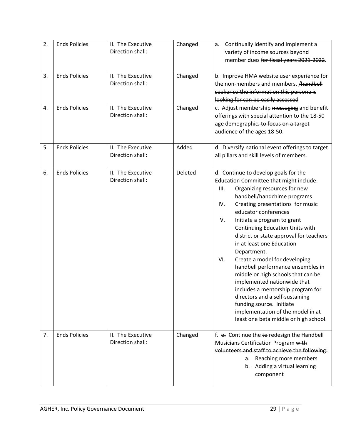| 2. | <b>Ends Policies</b> | II. The Executive<br>Direction shall: | Changed | Continually identify and implement a<br>а.<br>variety of income sources beyond<br>member dues for fiscal years 2021-2022.                                                                                                                                                                                                                                                                                                                                                                                                                                                                                                                                                                                                    |
|----|----------------------|---------------------------------------|---------|------------------------------------------------------------------------------------------------------------------------------------------------------------------------------------------------------------------------------------------------------------------------------------------------------------------------------------------------------------------------------------------------------------------------------------------------------------------------------------------------------------------------------------------------------------------------------------------------------------------------------------------------------------------------------------------------------------------------------|
| 3. | <b>Ends Policies</b> | II. The Executive<br>Direction shall: | Changed | b. Improve HMA website user experience for<br>the non-members and members. /handbell<br>seeker so the information this persona is<br>looking for can be easily accessed                                                                                                                                                                                                                                                                                                                                                                                                                                                                                                                                                      |
| 4. | <b>Ends Policies</b> | II. The Executive<br>Direction shall: | Changed | c. Adjust membership messaging and benefit<br>offerings with special attention to the 18-50<br>age demographic. to focus on a target<br>audience of the ages 18-50.                                                                                                                                                                                                                                                                                                                                                                                                                                                                                                                                                          |
| 5. | <b>Ends Policies</b> | II. The Executive<br>Direction shall: | Added   | d. Diversify national event offerings to target<br>all pillars and skill levels of members.                                                                                                                                                                                                                                                                                                                                                                                                                                                                                                                                                                                                                                  |
| 6. | <b>Ends Policies</b> | II. The Executive<br>Direction shall: | Deleted | d. Continue to develop goals for the<br>Education Committee that might include:<br>Organizing resources for new<br>III.<br>handbell/handchime programs<br>Creating presentations for music<br>IV.<br>educator conferences<br>V.<br>Initiate a program to grant<br>Continuing Education Units with<br>district or state approval for teachers<br>in at least one Education<br>Department.<br>Create a model for developing<br>VI.<br>handbell performance ensembles in<br>middle or high schools that can be<br>implemented nationwide that<br>includes a mentorship program for<br>directors and a self-sustaining<br>funding source. Initiate<br>implementation of the model in at<br>least one beta middle or high school. |
| 7. | <b>Ends Policies</b> | II. The Executive<br>Direction shall: | Changed | f. e. Continue the to redesign the Handbell<br>Musicians Certification Program with<br>volunteers and staff to achieve the following:<br>a. Reaching more members<br>b. Adding a virtual learning<br>component                                                                                                                                                                                                                                                                                                                                                                                                                                                                                                               |